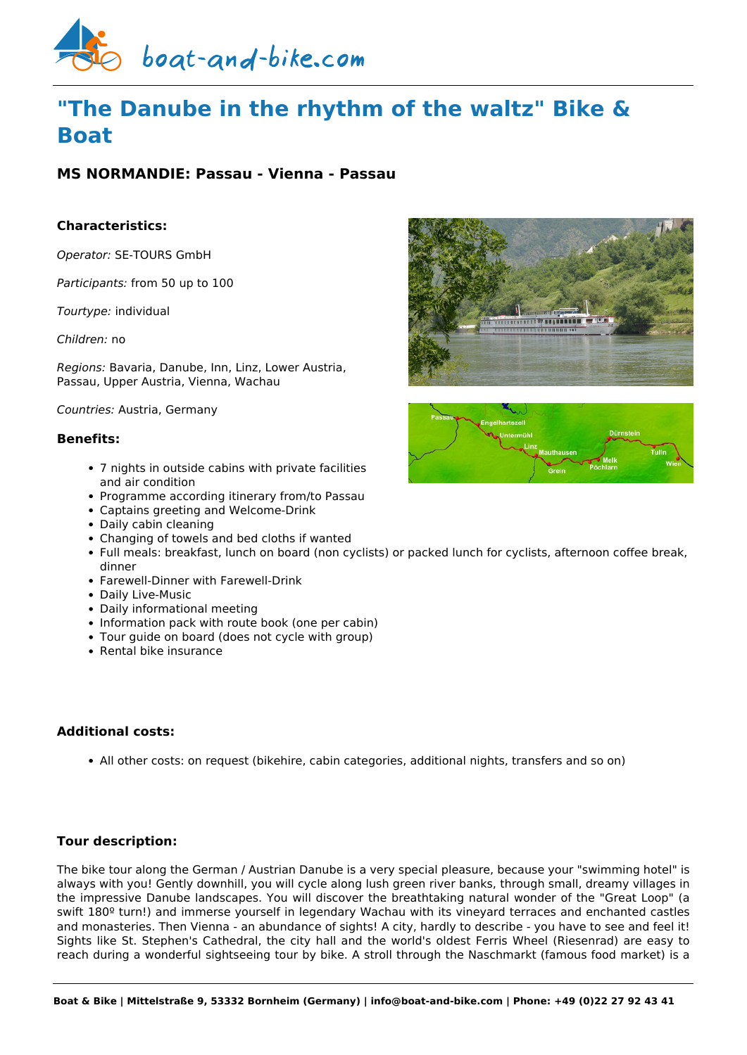

# **"The Danube in the rhythm of the waltz" Bike & Boat**

# **MS NORMANDIE: Passau - Vienna - Passau**

# **Characteristics:**

*Operator:* [SE-TOURS GmbH](https://www.boat-and-bike.com/operator/se-tours-gmbh.html) 

*Participants:* from 50 up to 100

*Tourtype:* individual

*Children:* no

*Regions:* Bavaria, Danube, Inn, Linz, Lower Austria, Passau, Upper Austria, Vienna, Wachau

*Countries:* Austria, Germany

## **Benefits:**

- 7 nights in outside cabins with private facilities and air condition
- Programme according itinerary from/to Passau
- Captains greeting and Welcome-Drink
- Daily cabin cleaning
- Changing of towels and bed cloths if wanted
- Full meals: breakfast, lunch on board (non cyclists) or packed lunch for cyclists, afternoon coffee break, dinner
- Farewell-Dinner with Farewell-Drink
- Daily Live-Music
- Daily informational meeting
- Information pack with route book (one per cabin)
- Tour guide on board (does not cycle with group)
- Rental bike insurance

# **Additional costs:**

All other costs: on request (bikehire, cabin categories, additional nights, transfers and so on)

# **Tour description:**

The bike tour along the German / Austrian Danube is a very special pleasure, because your "swimming hotel" is always with you! Gently downhill, you will cycle along lush green river banks, through small, dreamy villages in the impressive Danube landscapes. You will discover the breathtaking natural wonder of the "Great Loop" (a swift 180º turn!) and immerse yourself in legendary Wachau with its vineyard terraces and enchanted castles and monasteries. Then Vienna - an abundance of sights! A city, hardly to describe - you have to see and feel it! Sights like St. Stephen's Cathedral, the city hall and the world's oldest Ferris Wheel (Riesenrad) are easy to reach during a wonderful sightseeing tour by bike. A stroll through the Naschmarkt (famous food market) is a



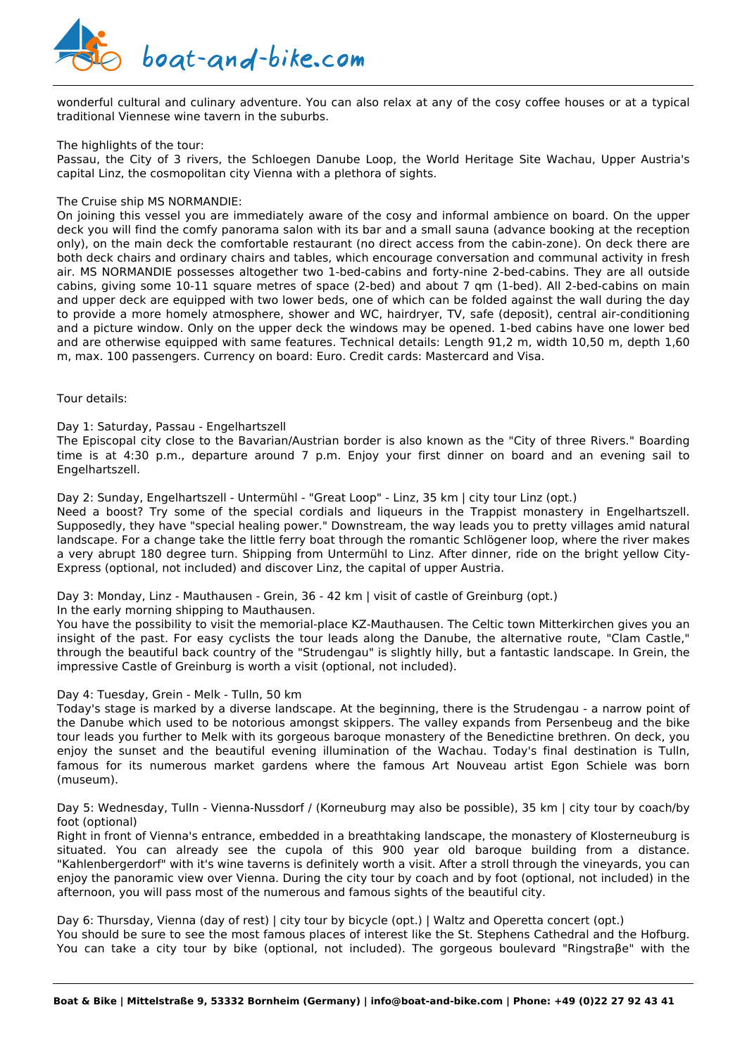

wonderful cultural and culinary adventure. You can also relax at any of the cosy coffee houses or at a typical traditional Viennese wine tavern in the suburbs.

#### The highlights of the tour:

Passau, the City of 3 rivers, the Schloegen Danube Loop, the World Heritage Site Wachau, Upper Austria's capital Linz, the cosmopolitan city Vienna with a plethora of sights.

## The Cruise ship MS NORMANDIE:

On joining this vessel you are immediately aware of the cosy and informal ambience on board. On the upper deck you will find the comfy panorama salon with its bar and a small sauna (advance booking at the reception only), on the main deck the comfortable restaurant (no direct access from the cabin-zone). On deck there are both deck chairs and ordinary chairs and tables, which encourage conversation and communal activity in fresh air. MS NORMANDIE possesses altogether two 1-bed-cabins and forty-nine 2-bed-cabins. They are all outside cabins, giving some 10-11 square metres of space (2-bed) and about 7 qm (1-bed). All 2-bed-cabins on main and upper deck are equipped with two lower beds, one of which can be folded against the wall during the day to provide a more homely atmosphere, shower and WC, hairdryer, TV, safe (deposit), central air-conditioning and a picture window. Only on the upper deck the windows may be opened. 1-bed cabins have one lower bed and are otherwise equipped with same features. Technical details: Length 91,2 m, width 10,50 m, depth 1,60 m, max. 100 passengers. Currency on board: Euro. Credit cards: Mastercard and Visa.

Tour details:

#### Day 1: Saturday, Passau - Engelhartszell

The Episcopal city close to the Bavarian/Austrian border is also known as the "City of three Rivers." Boarding time is at 4:30 p.m., departure around 7 p.m. Enjoy your first dinner on board and an evening sail to Engelhartszell.

#### Day 2: Sunday, Engelhartszell - Untermühl - "Great Loop" - Linz, 35 km | city tour Linz (opt.)

Need a boost? Try some of the special cordials and liqueurs in the Trappist monastery in Engelhartszell. Supposedly, they have "special healing power." Downstream, the way leads you to pretty villages amid natural landscape. For a change take the little ferry boat through the romantic Schlögener loop, where the river makes a very abrupt 180 degree turn. Shipping from Untermühl to Linz. After dinner, ride on the bright yellow City-Express (optional, not included) and discover Linz, the capital of upper Austria.

#### Day 3: Monday, Linz - Mauthausen - Grein, 36 - 42 km | visit of castle of Greinburg (opt.)

In the early morning shipping to Mauthausen.

You have the possibility to visit the memorial-place KZ-Mauthausen. The Celtic town Mitterkirchen gives you an insight of the past. For easy cyclists the tour leads along the Danube, the alternative route, "Clam Castle," through the beautiful back country of the "Strudengau" is slightly hilly, but a fantastic landscape. In Grein, the impressive Castle of Greinburg is worth a visit (optional, not included).

#### Day 4: Tuesday, Grein - Melk - Tulln, 50 km

Today's stage is marked by a diverse landscape. At the beginning, there is the Strudengau - a narrow point of the Danube which used to be notorious amongst skippers. The valley expands from Persenbeug and the bike tour leads you further to Melk with its gorgeous baroque monastery of the Benedictine brethren. On deck, you enjoy the sunset and the beautiful evening illumination of the Wachau. Today's final destination is Tulln, famous for its numerous market gardens where the famous Art Nouveau artist Egon Schiele was born (museum).

Day 5: Wednesday, Tulln - Vienna-Nussdorf / (Korneuburg may also be possible), 35 km | city tour by coach/by foot (optional)

Right in front of Vienna's entrance, embedded in a breathtaking landscape, the monastery of Klosterneuburg is situated. You can already see the cupola of this 900 year old baroque building from a distance. "Kahlenbergerdorf" with it's wine taverns is definitely worth a visit. After a stroll through the vineyards, you can enjoy the panoramic view over Vienna. During the city tour by coach and by foot (optional, not included) in the afternoon, you will pass most of the numerous and famous sights of the beautiful city.

Day 6: Thursday, Vienna (day of rest) | city tour by bicycle (opt.) | Waltz and Operetta concert (opt.) You should be sure to see the most famous places of interest like the St. Stephens Cathedral and the Hofburg. You can take a city tour by bike (optional, not included). The gorgeous boulevard "Ringstraβe" with the